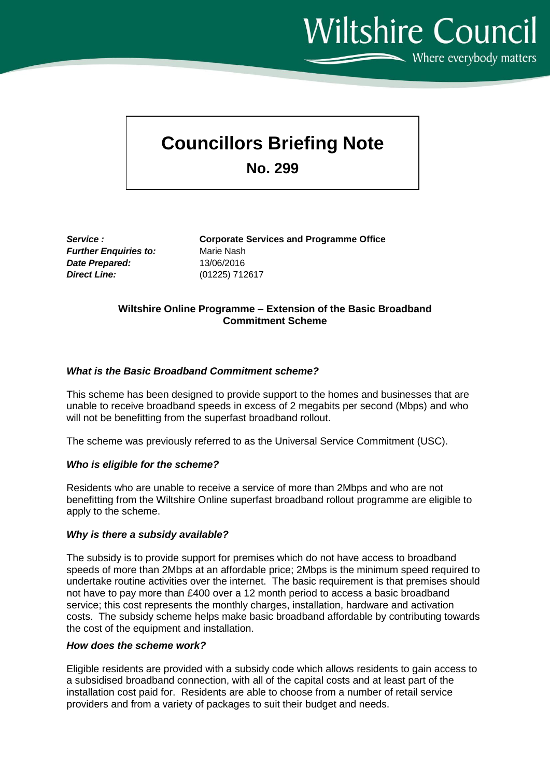**Wiltshire Council**  $\sum$  Where everybody matters

# **Councillors Briefing Note**

**No. 299**

*Further Enquiries to:* Marie Nash *Date Prepared:* 13/06/2016 *Direct Line:* (01225) 712617

*Service :* **Corporate Services and Programme Office**

# **Wiltshire Online Programme – Extension of the Basic Broadband Commitment Scheme**

# *What is the Basic Broadband Commitment scheme?*

This scheme has been designed to provide support to the homes and businesses that are unable to receive broadband speeds in excess of 2 megabits per second (Mbps) and who will not be benefitting from the superfast broadband rollout.

The scheme was previously referred to as the Universal Service Commitment (USC).

## *Who is eligible for the scheme?*

Residents who are unable to receive a service of more than 2Mbps and who are not benefitting from the Wiltshire Online superfast broadband rollout programme are eligible to apply to the scheme.

## *Why is there a subsidy available?*

The subsidy is to provide support for premises which do not have access to broadband speeds of more than 2Mbps at an affordable price; 2Mbps is the minimum speed required to undertake routine activities over the internet. The basic requirement is that premises should not have to pay more than £400 over a 12 month period to access a basic broadband service; this cost represents the monthly charges, installation, hardware and activation costs. The subsidy scheme helps make basic broadband affordable by contributing towards the cost of the equipment and installation.

## *How does the scheme work?*

Eligible residents are provided with a subsidy code which allows residents to gain access to a subsidised broadband connection, with all of the capital costs and at least part of the installation cost paid for. Residents are able to choose from a number of retail service providers and from a variety of packages to suit their budget and needs.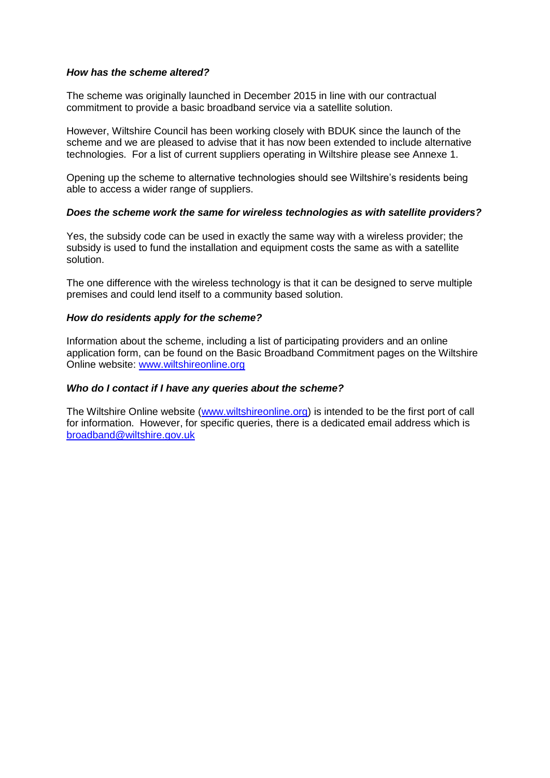#### *How has the scheme altered?*

The scheme was originally launched in December 2015 in line with our contractual commitment to provide a basic broadband service via a satellite solution.

However, Wiltshire Council has been working closely with BDUK since the launch of the scheme and we are pleased to advise that it has now been extended to include alternative technologies. For a list of current suppliers operating in Wiltshire please see Annexe 1.

Opening up the scheme to alternative technologies should see Wiltshire's residents being able to access a wider range of suppliers.

#### *Does the scheme work the same for wireless technologies as with satellite providers?*

Yes, the subsidy code can be used in exactly the same way with a wireless provider; the subsidy is used to fund the installation and equipment costs the same as with a satellite solution.

The one difference with the wireless technology is that it can be designed to serve multiple premises and could lend itself to a community based solution.

#### *How do residents apply for the scheme?*

Information about the scheme, including a list of participating providers and an online application form, can be found on the Basic Broadband Commitment pages on the Wiltshire Online website: [www.wiltshireonline.org](http://www.wiltshireonline.org/)

#### *Who do I contact if I have any queries about the scheme?*

The Wiltshire Online website [\(www.wiltshireonline.org\)](http://www.wiltshireonline.org/) is intended to be the first port of call for information. However, for specific queries, there is a dedicated email address which is [broadband@wiltshire.gov.uk](mailto:broadband@wiltshire.gov.uk)